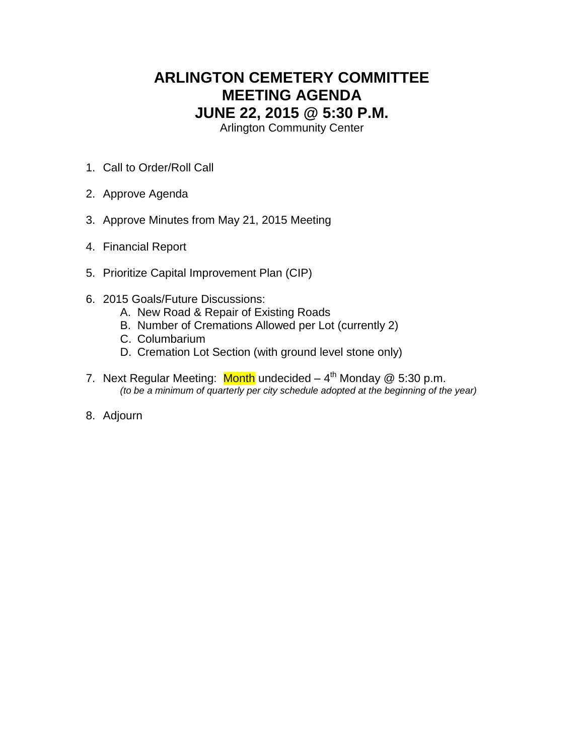## **ARLINGTON CEMETERY COMMITTEE MEETING AGENDA JUNE 22, 2015 @ 5:30 P.M.**

Arlington Community Center

- 1. Call to Order/Roll Call
- 2. Approve Agenda
- 3. Approve Minutes from May 21, 2015 Meeting
- 4. Financial Report
- 5. Prioritize Capital Improvement Plan (CIP)
- 6. 2015 Goals/Future Discussions:
	- A. New Road & Repair of Existing Roads
	- B. Number of Cremations Allowed per Lot (currently 2)
	- C. Columbarium
	- D. Cremation Lot Section (with ground level stone only)
- 7. Next Regular Meeting: Month undecided 4<sup>th</sup> Monday @ 5:30 p.m. *(to be a minimum of quarterly per city schedule adopted at the beginning of the year)*
- 8. Adjourn